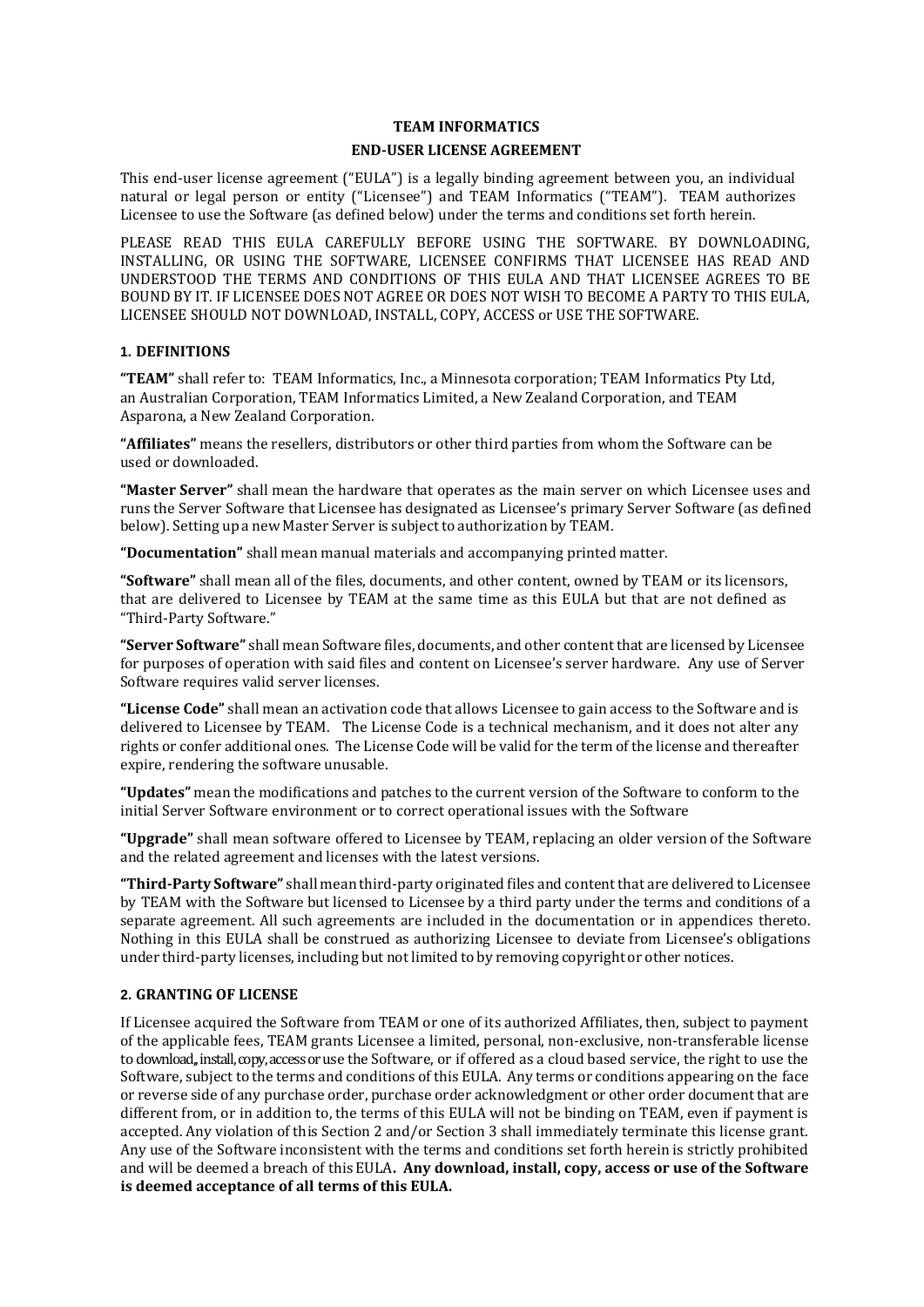### **TEAM INFORMATICS**

### **END-USER LICENSE AGREEMENT**

This end-user license agreement ("EULA") is a legally binding agreement between you, an individual natural or legal person or entity ("Licensee") and TEAM Informatics ("TEAM"). TEAM authorizes Licensee to use the Software (as defined below) under the terms and conditions set forth herein.

PLEASE READ THIS EULA CAREFULLY BEFORE USING THE SOFTWARE. BY DOWNLOADING, INSTALLING, OR USING THE SOFTWARE, LICENSEE CONFIRMS THAT LICENSEE HAS READ AND UNDERSTOOD THE TERMS AND CONDITIONS OF THIS EULA AND THAT LICENSEE AGREES TO BE BOUND BY IT. IF LICENSEE DOES NOT AGREE OR DOES NOT WISH TO BECOME A PARTY TO THIS EULA, LICENSEE SHOULD NOT DOWNLOAD, INSTALL, COPY, ACCESS or USE THE SOFTWARE.

## **1. DEFINITIONS**

**"TEAM"** shall refer to: TEAM Informatics, Inc., a Minnesota corporation; TEAM Informatics Pty Ltd, an Australian Corporation, TEAM Informatics Limited, a New Zealand Corporation, and TEAM Asparona, a New Zealand Corporation.

**"Affiliates"** means the resellers, distributors or other third parties from whom the Software can be used or downloaded.

**"Master Server"** shall mean the hardware that operates as the main server on which Licensee uses and runs the Server Software that Licensee has designated as Licensee's primary Server Software (as defined below). Setting up a new Master Server is subject to authorization by TEAM.

**"Documentation"** shall mean manual materials and accompanying printed matter.

**"Software"** shall mean all of the files, documents, and other content, owned by TEAM or its licensors, that are delivered to Licensee by TEAM at the same time as this EULA but that are not defined as "Third-Party Software."

**"Server Software"** shall mean Software files, documents, and other content that are licensed by Licensee for purposes of operation with said files and content on Licensee's server hardware. Any use of Server Software requires valid server licenses.

**"License Code"** shall mean an activation code that allows Licensee to gain access to the Software and is delivered to Licensee by TEAM. The License Code is a technical mechanism, and it does not alter any rights or confer additional ones. The License Code will be valid for the term of the license and thereafter expire, rendering the software unusable.

**"Updates"** mean the modifications and patches to the current version of the Software to conform to the initial Server Software environment or to correct operational issues with the Software

**"Upgrade"** shall mean software offered to Licensee by TEAM, replacing an older version of the Software and the related agreement and licenses with the latest versions.

**"Third-Party Software"** shall mean third-party originated files and content that are delivered to Licensee by TEAM with the Software but licensed to Licensee by a third party under the terms and conditions of a separate agreement. All such agreements are included in the documentation or in appendices thereto. Nothing in this EULA shall be construed as authorizing Licensee to deviate from Licensee's obligations under third-party licenses, including but notlimited to by removing copyright or other notices.

## **2. GRANTING OF LICENSE**

If Licensee acquired the Software from TEAM or one of its authorized Affiliates, then, subject to payment of the applicable fees, TEAM grants Licensee a limited, personal, non-exclusive, non-transferable license to download,, install, copy, access or use the Software, or if offered as a cloud based service, the right to use the Software, subject to the terms and conditions of this EULA. Any terms or conditions appearing on the face or reverse side of any purchase order, purchase order acknowledgment or other order document that are different from, or in addition to, the terms of this EULA will not be binding on TEAM, even if payment is accepted. Any violation of this Section 2 and/or Section 3 shall immediately terminate this license grant. Any use of the Software inconsistent with the terms and conditions set forth herein is strictly prohibited and will be deemed a breach of this EULA**. Any download, install, copy, access or use of the Software is deemed acceptance of all terms of this EULA.**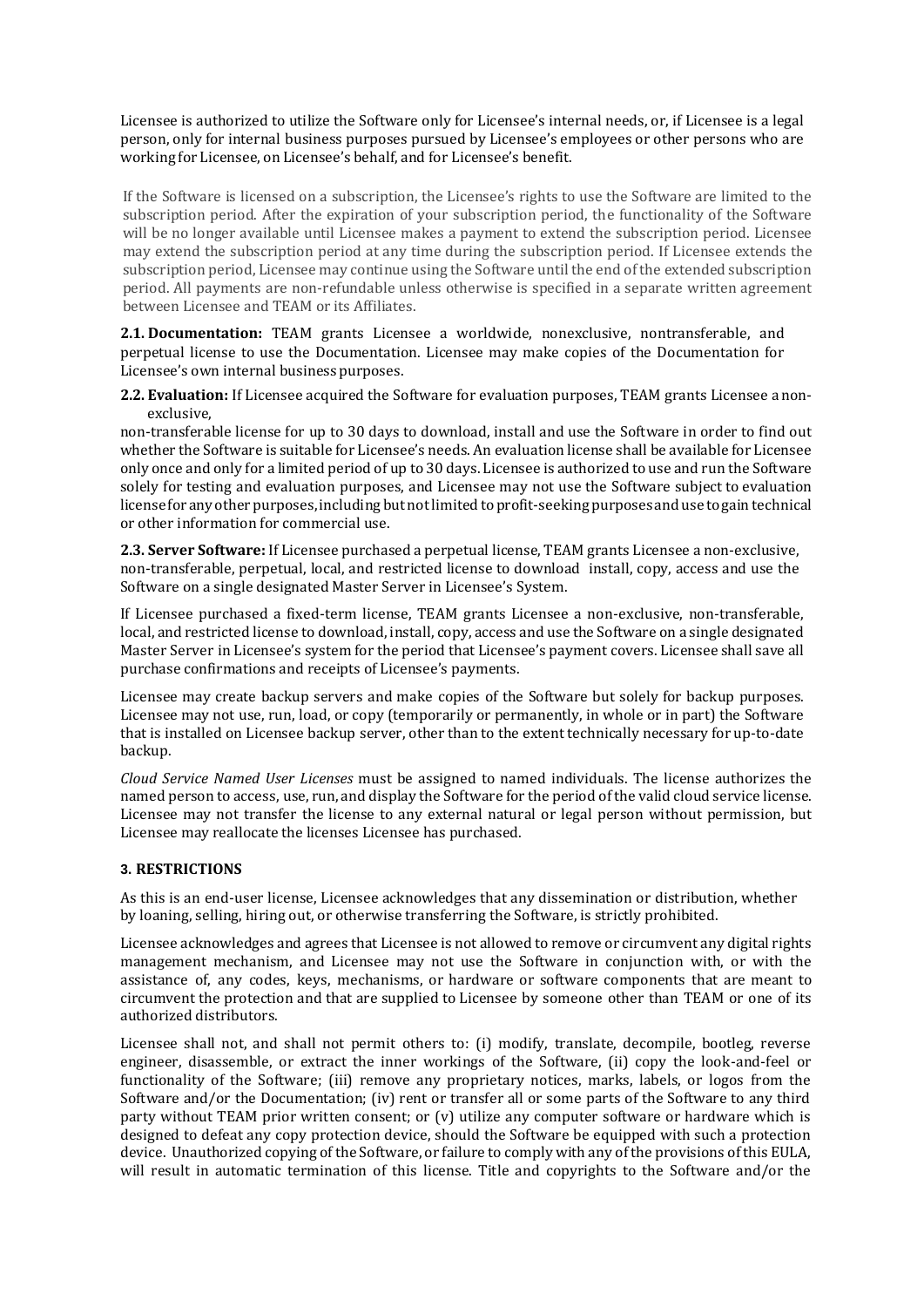Licensee is authorized to utilize the Software only for Licensee's internal needs, or, if Licensee is a legal person, only for internal business purposes pursued by Licensee's employees or other persons who are working for Licensee, on Licensee's behalf, and for Licensee's benefit.

If the Software is licensed on a subscription, the Licensee's rights to use the Software are limited to the subscription period. After the expiration of your subscription period, the functionality of the Software will be no longer available until Licensee makes a payment to extend the subscription period. Licensee may extend the subscription period at any time during the subscription period. If Licensee extends the subscription period, Licensee may continue using the Software until the end of the extended subscription period. All payments are non-refundable unless otherwise is specified in a separate written agreement between Licensee and TEAM or its Affiliates.

**2.1. Documentation:** TEAM grants Licensee a worldwide, nonexclusive, nontransferable, and perpetual license to use the Documentation. Licensee may make copies of the Documentation for Licensee's own internal business purposes.

**2.2. Evaluation:** If Licensee acquired the Software for evaluation purposes, TEAM grants Licensee anonexclusive,

non-transferable license for up to 30 days to download, install and use the Software in order to find out whether the Software is suitable for Licensee's needs. An evaluation license shall be available for Licensee only once and only for a limited period of up to 30 days. Licensee is authorized to use and run the Software solely for testing and evaluation purposes, and Licensee may not use the Software subject to evaluation licenseforanyotherpurposes,includingbutnotlimitedto profit-seekingpurposes anduse togain technical or other information for commercial use.

**2.3. Server Software:** If Licensee purchased a perpetual license, TEAM grants Licensee a non-exclusive, non-transferable, perpetual, local, and restricted license to download install, copy, access and use the Software on a single designated Master Server in Licensee's System.

If Licensee purchased a fixed-term license, TEAM grants Licensee a non-exclusive, non-transferable, local, and restricted license to download, install, copy, access and use the Software on a single designated Master Server in Licensee's system for the period that Licensee's payment covers. Licensee shall save all purchase confirmations and receipts of Licensee's payments.

Licensee may create backup servers and make copies of the Software but solely for backup purposes. Licensee may not use, run, load, or copy (temporarily or permanently, in whole or in part) the Software that is installed on Licensee backup server, other than to the extent technically necessary for up-to-date backup.

*Cloud Service Named User Licenses* must be assigned to named individuals. The license authorizes the named person to access, use, run, and display the Software for the period of the valid cloud service license. Licensee may not transfer the license to any external natural or legal person without permission, but Licensee may reallocate the licenses Licensee has purchased.

# **3. RESTRICTIONS**

As this is an end-user license, Licensee acknowledges that any dissemination or distribution, whether by loaning, selling, hiring out, or otherwise transferring the Software, is strictly prohibited.

Licensee acknowledges and agrees that Licensee is not allowed to remove or circumvent any digital rights management mechanism, and Licensee may not use the Software in conjunction with, or with the assistance of, any codes, keys, mechanisms, or hardware or software components that are meant to circumvent the protection and that are supplied to Licensee by someone other than TEAM or one of its authorized distributors.

Licensee shall not, and shall not permit others to: (i) modify, translate, decompile, bootleg, reverse engineer, disassemble, or extract the inner workings of the Software, (ii) copy the look-and-feel or functionality of the Software; (iii) remove any proprietary notices, marks, labels, or logos from the Software and/or the Documentation; (iv) rent or transfer all or some parts of the Software to any third party without TEAM prior written consent; or (v) utilize any computer software or hardware which is designed to defeat any copy protection device, should the Software be equipped with such a protection device. Unauthorized copying of the Software, or failure to comply with any of the provisions of this EULA, will result in automatic termination of this license. Title and copyrights to the Software and/or the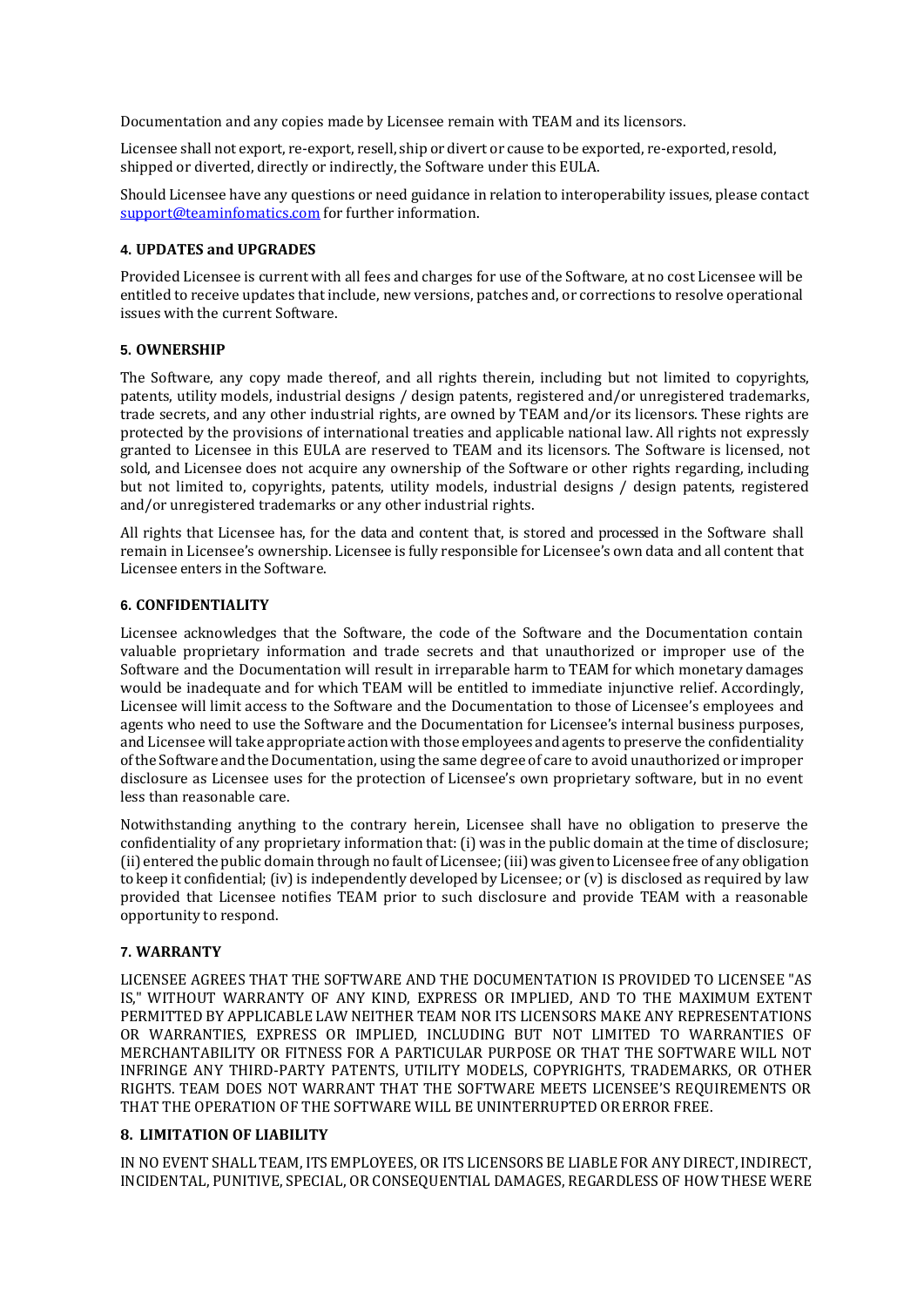Documentation and any copies made by Licensee remain with TEAM and its licensors.

Licensee shall not export, re-export, resell, ship or divert or cause to be exported, re-exported, resold, shipped or diverted, directly or indirectly, the Software under this EULA.

Should Licensee have any questions or need guidance in relation to interoperability issues, please contact [support@teaminfomatics.com](mailto:support@teaminfomatics.com) for further information.

# **4. UPDATES and UPGRADES**

Provided Licensee is current with all fees and charges for use of the Software, at no cost Licensee will be entitled to receive updates that include, new versions, patches and, or corrections to resolve operational issues with the current Software.

# **5. OWNERSHIP**

The Software, any copy made thereof, and all rights therein, including but not limited to copyrights, patents, utility models, industrial designs / design patents, registered and/or unregistered trademarks, trade secrets, and any other industrial rights, are owned by TEAM and/or its licensors. These rights are protected by the provisions of international treaties and applicable national law. All rights not expressly granted to Licensee in this EULA are reserved to TEAM and its licensors. The Software is licensed, not sold, and Licensee does not acquire any ownership of the Software or other rights regarding, including but not limited to, copyrights, patents, utility models, industrial designs / design patents, registered and/or unregistered trademarks or any other industrial rights.

All rights that Licensee has, for the data and content that, is stored and processed in the Software shall remain in Licensee's ownership. Licensee is fully responsible for Licensee's own data and all content that Licensee enters in the Software.

### **6. CONFIDENTIALITY**

Licensee acknowledges that the Software, the code of the Software and the Documentation contain valuable proprietary information and trade secrets and that unauthorized or improper use of the Software and the Documentation will result in irreparable harm to TEAM for which monetary damages would be inadequate and for which TEAM will be entitled to immediate injunctive relief. Accordingly, Licensee will limit access to the Software and the Documentation to those of Licensee's employees and agents who need to use the Software and the Documentation for Licensee's internal business purposes, and Licensee will take appropriate action with those employees and agents to preserve the confidentiality ofthe Software and theDocumentation, using the same degree of care to avoid unauthorized or improper disclosure as Licensee uses for the protection of Licensee's own proprietary software, but in no event less than reasonable care.

Notwithstanding anything to the contrary herein, Licensee shall have no obligation to preserve the confidentiality of any proprietary information that: (i) was in the public domain at the time of disclosure; (ii) entered the public domain through no fault of Licensee;(iii)was givento Licensee free of any obligation to keep it confidential; (iv) is independently developed by Licensee; or  $(v)$  is disclosed as required by law provided that Licensee notifies TEAM prior to such disclosure and provide TEAM with a reasonable opportunity to respond.

## **7. WARRANTY**

LICENSEE AGREES THAT THE SOFTWARE AND THE DOCUMENTATION IS PROVIDED TO LICENSEE "AS IS," WITHOUT WARRANTY OF ANY KIND, EXPRESS OR IMPLIED, AND TO THE MAXIMUM EXTENT PERMITTED BY APPLICABLE LAW NEITHER TEAM NOR ITS LICENSORS MAKE ANY REPRESENTATIONS OR WARRANTIES, EXPRESS OR IMPLIED, INCLUDING BUT NOT LIMITED TO WARRANTIES OF MERCHANTABILITY OR FITNESS FOR A PARTICULAR PURPOSE OR THAT THE SOFTWARE WILL NOT INFRINGE ANY THIRD-PARTY PATENTS, UTILITY MODELS, COPYRIGHTS, TRADEMARKS, OR OTHER RIGHTS. TEAM DOES NOT WARRANT THAT THE SOFTWARE MEETS LICENSEE'S REQUIREMENTS OR THAT THE OPERATION OF THE SOFTWARE WILL BE UNINTERRUPTED ORERROR FREE.

#### **8. LIMITATION OF LIABILITY**

IN NO EVENT SHALL TEAM, ITS EMPLOYEES, OR ITS LICENSORS BE LIABLE FOR ANY DIRECT, INDIRECT, INCIDENTAL, PUNITIVE, SPECIAL, OR CONSEQUENTIAL DAMAGES, REGARDLESS OF HOW THESE WERE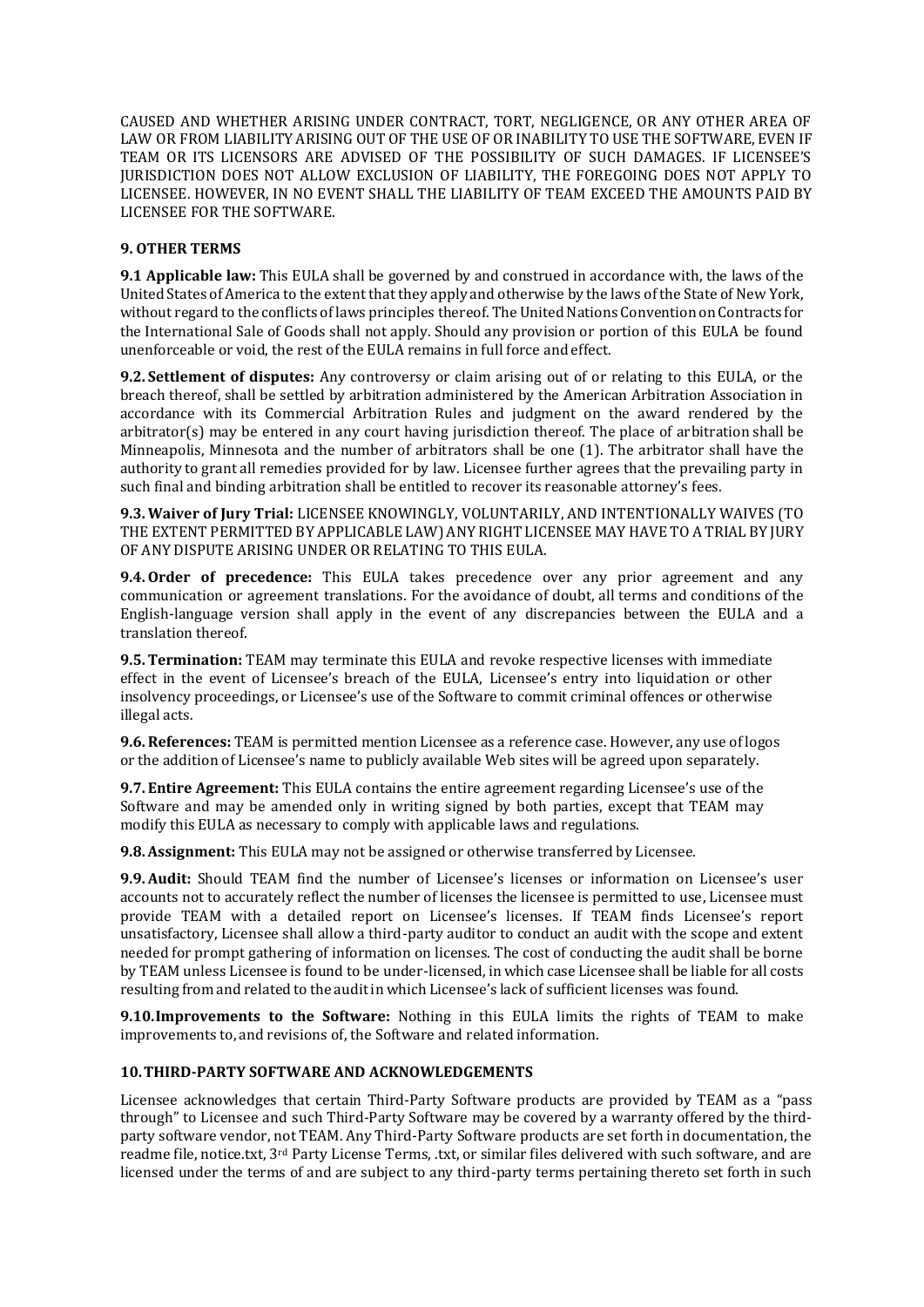CAUSED AND WHETHER ARISING UNDER CONTRACT, TORT, NEGLIGENCE, OR ANY OTHER AREA OF LAW OR FROM LIABILITY ARISING OUT OF THE USE OF OR INABILITY TO USE THE SOFTWARE, EVEN IF TEAM OR ITS LICENSORS ARE ADVISED OF THE POSSIBILITY OF SUCH DAMAGES. IF LICENSEE'S JURISDICTION DOES NOT ALLOW EXCLUSION OF LIABILITY, THE FOREGOING DOES NOT APPLY TO LICENSEE. HOWEVER, IN NO EVENT SHALL THE LIABILITY OF TEAM EXCEED THE AMOUNTS PAID BY LICENSEE FOR THE SOFTWARE.

# **9. OTHER TERMS**

**9.1 Applicable law:** This EULA shall be governed by and construed in accordance with, the laws of the United States ofAmerica to the extent that they apply and otherwise by the laws of the State of New York, without regard to the conflicts of laws principles thereof. The United Nations Convention on Contracts for the International Sale of Goods shall not apply. Should any provision or portion of this EULA be found unenforceable or void, the rest of the EULA remains in full force and effect.

**9.2. Settlement of disputes:** Any controversy or claim arising out of or relating to this EULA, or the breach thereof, shall be settled by arbitration administered by the American Arbitration Association in accordance with its Commercial Arbitration Rules and judgment on the award rendered by the arbitrator(s) may be entered in any court having jurisdiction thereof. The place of arbitration shall be Minneapolis, Minnesota and the number of arbitrators shall be one (1). The arbitrator shall have the authority to grant all remedies provided for by law. Licensee further agrees that the prevailing party in such final and binding arbitration shall be entitled to recover its reasonable attorney's fees.

**9.3.Waiver of Jury Trial:** LICENSEE KNOWINGLY, VOLUNTARILY, AND INTENTIONALLY WAIVES (TO THE EXTENT PERMITTED BY APPLICABLE LAW) ANY RIGHT LICENSEE MAY HAVE TO A TRIAL BY JURY OF ANY DISPUTE ARISING UNDER OR RELATING TO THIS EULA.

**9.4.Order of precedence:** This EULA takes precedence over any prior agreement and any communication or agreement translations. For the avoidance of doubt, all terms and conditions of the English-language version shall apply in the event of any discrepancies between the EULA and a translation thereof.

**9.5.Termination:** TEAM may terminate this EULA and revoke respective licenses with immediate effect in the event of Licensee's breach of the EULA, Licensee's entry into liquidation or other insolvency proceedings, or Licensee's use of the Software to commit criminal offences or otherwise illegal acts.

**9.6.References:** TEAM is permitted mention Licensee as a reference case. However, any use of logos or the addition of Licensee's name to publicly available Web sites will be agreed upon separately.

**9.7. Entire Agreement:** This EULA contains the entire agreement regarding Licensee's use of the Software and may be amended only in writing signed by both parties, except that TEAM may modify this EULA as necessary to comply with applicable laws and regulations.

**9.8.Assignment:** This EULA may not be assigned or otherwise transferred by Licensee.

**9.9.Audit:** Should TEAM find the number of Licensee's licenses or information on Licensee's user accounts not to accurately reflect the number of licenses the licensee is permitted to use, Licensee must provide TEAM with a detailed report on Licensee's licenses. If TEAM finds Licensee's report unsatisfactory, Licensee shall allow a third-party auditor to conduct an audit with the scope and extent needed for prompt gathering of information on licenses. The cost of conducting the audit shall be borne by TEAM unless Licensee is found to be under-licensed, in which case Licensee shall be liable for all costs resulting from and related to the auditin which Licensee's lack of sufficient licenses was found.

**9.10.Improvements to the Software:** Nothing in this EULA limits the rights of TEAM to make improvements to, and revisions of, the Software and related information.

## **10.THIRD-PARTY SOFTWARE AND ACKNOWLEDGEMENTS**

Licensee acknowledges that certain Third-Party Software products are provided by TEAM as a "pass through" to Licensee and such Third-Party Software may be covered by a warranty offered by the thirdparty software vendor, not TEAM. Any Third-Party Software products are set forth in documentation, the readme file, notice.txt, 3<sup>rd</sup> Party License Terms, .txt, or similar files delivered with such software, and are licensed under the terms of and are subject to any third-party terms pertaining thereto set forth in such